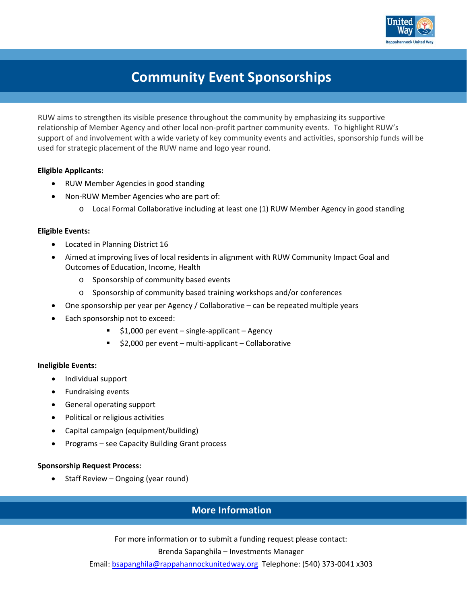

## **Community Event Sponsorships**

RUW aims to strengthen its visible presence throughout the community by emphasizing its supportive relationship of Member Agency and other local non‐profit partner community events. To highlight RUW's support of and involvement with a wide variety of key community events and activities, sponsorship funds will be used for strategic placement of the RUW name and logo year round.

#### **Eligible Applicants:**

- RUW Member Agencies in good standing
- Non-RUW Member Agencies who are part of:
	- o Local Formal Collaborative including at least one (1) RUW Member Agency in good standing

#### **Eligible Events:**

- Located in Planning District 16
- Aimed at improving lives of local residents in alignment with RUW Community Impact Goal and Outcomes of Education, Income, Health
	- o Sponsorship of community based events
	- o Sponsorship of community based training workshops and/or conferences
- One sponsorship per year per Agency / Collaborative can be repeated multiple years
- Each sponsorship not to exceed:
	- \$1,000 per event single-applicant Agency
	- \$2,000 per event multi-applicant Collaborative

#### **Ineligible Events:**

- Individual support
- Fundraising events
- General operating support
- Political or religious activities
- Capital campaign (equipment/building)
- Programs see Capacity Building Grant process

#### **Sponsorship Request Process:**

Staff Review – Ongoing (year round)

### **More Information**

For more information or to submit a funding request please contact:

Brenda Sapanghila – Investments Manager

Email: bsapanghila@rappahannockunitedway.org Telephone: (540) 373‐0041 x303